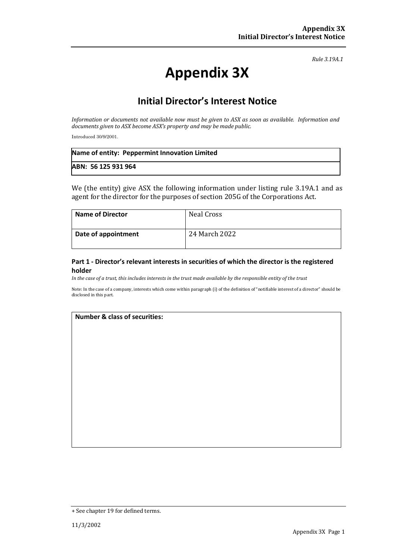*Rule 3.19A.1*

# **Appendix 3X**

## **Initial Director's Interest Notice**

*Information or documents not available now must be given to ASX as soon as available. Information and documents given to ASX become ASX's property and may be made public.*

Introduced 30/9/2001.

| Name of entity: Peppermint Innovation Limited |  |
|-----------------------------------------------|--|
| ABN: 56 125 931 964                           |  |

We (the entity) give ASX the following information under listing rule 3.19A.1 and as agent for the director for the purposes of section 205G of the Corporations Act.

| <b>Name of Director</b> | Neal Cross    |
|-------------------------|---------------|
| Date of appointment     | 24 March 2022 |

#### **Part 1 - Director's relevant interests in securities of which the director is the registered holder**

*In the case of a trust, this includes interests in the trust made available by the responsible entity of the trust*

Note: In the case of a company, interests which come within paragraph (i) of the definition of "notifiable interest of a director" should be disclosed in this part.

#### **Number & class of securities:**

<sup>+</sup> See chapter 19 for defined terms.